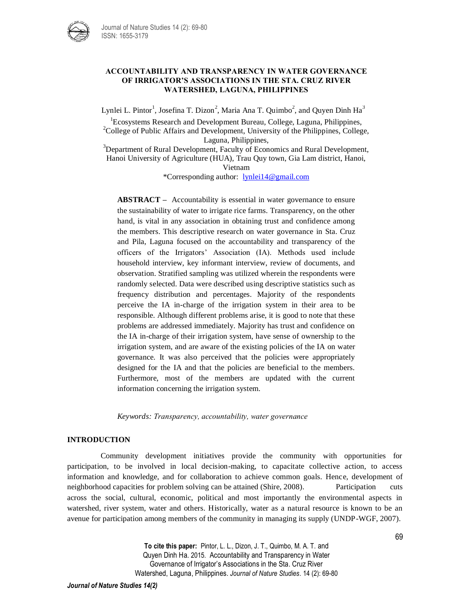

## **ACCOUNTABILITY AND TRANSPARENCY IN WATER GOVERNANCE OF IRRIGATOR'S ASSOCIATIONS IN THE STA. CRUZ RIVER WATERSHED, LAGUNA, PHILIPPINES**

Lynlei L. Pintor<sup>1</sup>, Josefina T. Dizon<sup>2</sup>, Maria Ana T. Quimbo<sup>2</sup>, and Quyen Dinh Ha<sup>3</sup>

<sup>1</sup> Ecosystems Research and Development Bureau, College, Laguna, Philippines,  $2^2$ College of Public Affairs and Development, University of the Philippines, College, Laguna, Philippines,

 $3D$ epartment of Rural Development, Faculty of Economics and Rural Development, Hanoi University of Agriculture (HUA), Trau Quy town, Gia Lam district, Hanoi, Vietnam

\*Corresponding author: [lynlei14@gmail.com](mailto:lynlei14@gmail.com)

**ABSTRACT –** Accountability is essential in water governance to ensure the sustainability of water to irrigate rice farms. Transparency, on the other hand, is vital in any association in obtaining trust and confidence among the members. This descriptive research on water governance in Sta. Cruz and Pila, Laguna focused on the accountability and transparency of the officers of the Irrigators' Association (IA). Methods used include household interview, key informant interview, review of documents, and observation. Stratified sampling was utilized wherein the respondents were randomly selected. Data were described using descriptive statistics such as frequency distribution and percentages. Majority of the respondents perceive the IA in-charge of the irrigation system in their area to be responsible. Although different problems arise, it is good to note that these problems are addressed immediately. Majority has trust and confidence on the IA in-charge of their irrigation system, have sense of ownership to the irrigation system, and are aware of the existing policies of the IA on water governance. It was also perceived that the policies were appropriately designed for the IA and that the policies are beneficial to the members. Furthermore, most of the members are updated with the current information concerning the irrigation system.

*Keywords: Transparency, accountability, water governance*

## **INTRODUCTION**

Community development initiatives provide the community with opportunities for participation, to be involved in local decision-making, to capacitate collective action, to access information and knowledge, and for collaboration to achieve common goals. Hence, development of neighborhood capacities for problem solving can be attained (Shire, 2008). Participation cuts across the social, cultural, economic, political and most importantly the environmental aspects in watershed, river system, water and others. Historically, water as a natural resource is known to be an avenue for participation among members of the community in managing its supply (UNDP-WGF, 2007).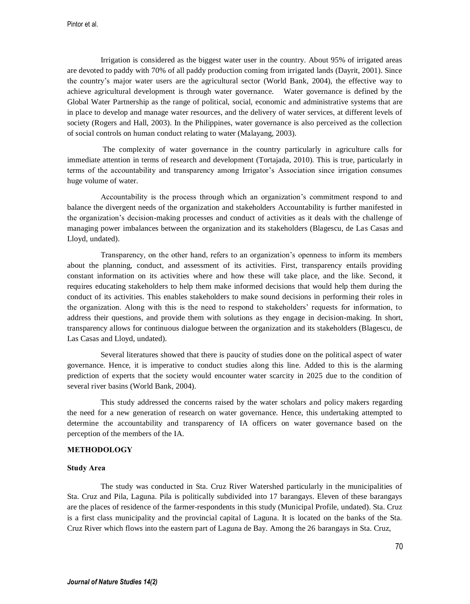Irrigation is considered as the biggest water user in the country. About 95% of irrigated areas are devoted to paddy with 70% of all paddy production coming from irrigated lands (Dayrit, 2001). Since the country's major water users are the agricultural sector (World Bank, 2004), the effective way to achieve agricultural development is through water governance. Water governance is defined by the Global Water Partnership as the range of political, social, economic and administrative systems that are in place to develop and manage water resources, and the delivery of water services, at different levels of society (Rogers and Hall, 2003). In the Philippines, water governance is also perceived as the collection of social controls on human conduct relating to water (Malayang, 2003).

The complexity of water governance in the country particularly in agriculture calls for immediate attention in terms of research and development (Tortajada, 2010). This is true, particularly in terms of the accountability and transparency among Irrigator's Association since irrigation consumes huge volume of water.

Accountability is the process through which an organization's commitment respond to and balance the divergent needs of the organization and stakeholders Accountability is further manifested in the organization's decision-making processes and conduct of activities as it deals with the challenge of managing power imbalances between the organization and its stakeholders (Blagescu, de Las Casas and Lloyd, undated).

Transparency, on the other hand, refers to an organization's openness to inform its members about the planning, conduct, and assessment of its activities. First, transparency entails providing constant information on its activities where and how these will take place, and the like. Second, it requires educating stakeholders to help them make informed decisions that would help them during the conduct of its activities. This enables stakeholders to make sound decisions in performing their roles in the organization. Along with this is the need to respond to stakeholders' requests for information, to address their questions, and provide them with solutions as they engage in decision-making. In short, transparency allows for continuous dialogue between the organization and its stakeholders (Blagescu, de Las Casas and Lloyd, undated).

Several literatures showed that there is paucity of studies done on the political aspect of water governance. Hence, it is imperative to conduct studies along this line. Added to this is the alarming prediction of experts that the society would encounter water scarcity in 2025 due to the condition of several river basins (World Bank, 2004).

This study addressed the concerns raised by the water scholars and policy makers regarding the need for a new generation of research on water governance. Hence, this undertaking attempted to determine the accountability and transparency of IA officers on water governance based on the perception of the members of the IA.

## **METHODOLOGY**

### **Study Area**

The study was conducted in Sta. Cruz River Watershed particularly in the municipalities of Sta. Cruz and Pila, Laguna. Pila is politically subdivided into 17 barangays. Eleven of these barangays are the places of residence of the farmer-respondents in this study (Municipal Profile, undated). Sta. Cruz is a first class municipality and the provincial capital of Laguna. It is located on the banks of the Sta. Cruz River which flows into the eastern part of Laguna de Bay. Among the 26 barangays in Sta. Cruz,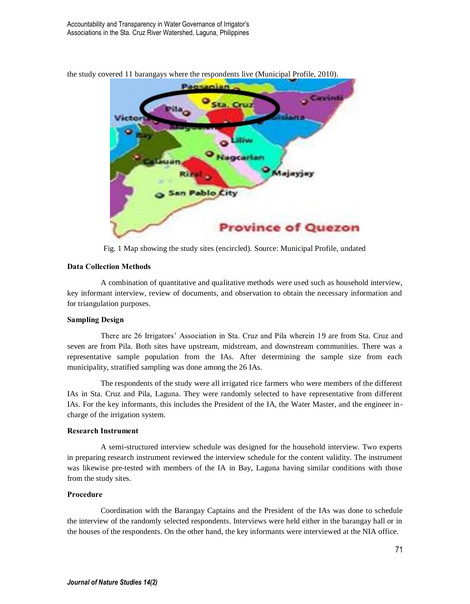

the study covered 11 barangays where the respondents live (Municipal Profile, 2010).

Fig. 1 Map showing the study sites (encircled). Source: Municipal Profile, undated

### **Data Collection Methods**

A combination of quantitative and qualitative methods were used such as household interview, key informant interview, review of documents, and observation to obtain the necessary information and for triangulation purposes.

### **Sampling Design**

There are 26 Irrigators' Association in Sta. Cruz and Pila wherein 19 are from Sta. Cruz and seven are from Pila. Both sites have upstream, midstream, and downstream communities. There was a representative sample population from the IAs. After determining the sample size from each municipality, stratified sampling was done among the 26 IAs.

The respondents of the study were all irrigated rice farmers who were members of the different IAs in Sta. Cruz and Pila, Laguna. They were randomly selected to have representative from different IAs. For the key informants, this includes the President of the IA, the Water Master, and the engineer incharge of the irrigation system.

#### **Research Instrument**

A semi-structured interview schedule was designed for the household interview. Two experts in preparing research instrument reviewed the interview schedule for the content validity. The instrument was likewise pre-tested with members of the IA in Bay, Laguna having similar conditions with those from the study sites.

### **Procedure**

Coordination with the Barangay Captains and the President of the IAs was done to schedule the interview of the randomly selected respondents. Interviews were held either in the barangay hall or in the houses of the respondents. On the other hand, the key informants were interviewed at the NIA office.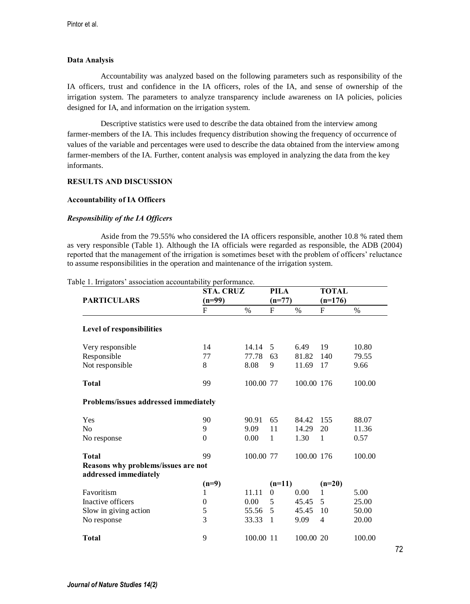### **Data Analysis**

Accountability was analyzed based on the following parameters such as responsibility of the IA officers, trust and confidence in the IA officers, roles of the IA, and sense of ownership of the irrigation system. The parameters to analyze transparency include awareness on IA policies, policies designed for IA, and information on the irrigation system.

Descriptive statistics were used to describe the data obtained from the interview among farmer-members of the IA. This includes frequency distribution showing the frequency of occurrence of values of the variable and percentages were used to describe the data obtained from the interview among farmer-members of the IA. Further, content analysis was employed in analyzing the data from the key informants.

### **RESULTS AND DISCUSSION**

### **Accountability of IA Officers**

## *Responsibility of the IA Officers*

Aside from the 79.55% who considered the IA officers responsible, another 10.8 % rated them as very responsible (Table 1). Although the IA officials were regarded as responsible, the ADB (2004) reported that the management of the irrigation is sometimes beset with the problem of officers' reluctance to assume responsibilities in the operation and maintenance of the irrigation system.

|                                       | STA. CRUZ      |           | PILA         |            | <b>TOTAL</b> |        |
|---------------------------------------|----------------|-----------|--------------|------------|--------------|--------|
| <b>PARTICULARS</b>                    | $(n=99)$       |           | $(n=77)$     |            | $(n=176)$    |        |
|                                       | F              | $\%$      | F            | $\%$       | F            | $\%$   |
| <b>Level of responsibilities</b>      |                |           |              |            |              |        |
| Very responsible                      | 14             | 14.14     | 5            | 6.49       | 19           | 10.80  |
| Responsible                           | 77             | 77.78     | 63           | 81.82      | 140          | 79.55  |
| Not responsible                       | 8              | 8.08      | 9            | 11.69      | 17           | 9.66   |
| <b>Total</b>                          | 99             | 100.00 77 |              | 100.00 176 |              | 100.00 |
| Problems/issues addressed immediately |                |           |              |            |              |        |
| Yes                                   | 90             | 90.91     | 65           | 84.42      | 155          | 88.07  |
| No                                    | 9              | 9.09      | 11           | 14.29      | 20           | 11.36  |
| No response                           | $\overline{0}$ | 0.00      | $\mathbf{1}$ | 1.30       | 1            | 0.57   |
| Total                                 | 99             | 100.00 77 |              | 100.00 176 |              | 100.00 |
| Reasons why problems/issues are not   |                |           |              |            |              |        |
| addressed immediately                 |                |           |              |            |              |        |
|                                       | $(n=9)$        |           | $(n=11)$     |            | $(n=20)$     |        |
| Favoritism                            | 1              | 11.11     | $\Omega$     | 0.00       | 1            | 5.00   |
| Inactive officers                     | $\mathbf{0}$   | 0.00      | 5            | 45.45      | 5            | 25.00  |
| Slow in giving action                 | 5              | 55.56     | 5            | 45.45      | 10           | 50.00  |
| No response                           | 3              | 33.33     | $\mathbf{1}$ | 9.09       | 4            | 20.00  |
| Total                                 | 9              | 100.00 11 |              | 100.00 20  |              | 100.00 |

Table 1. Irrigators' association accountability performance.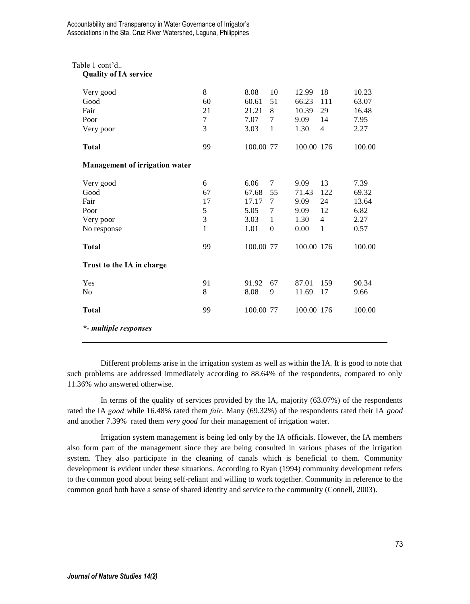# Table 1 cont'd..

# **Quality of IA service**

| Very good<br>Good<br>Fair<br>Poor<br>Very poor                                | 8<br>60<br>21<br>7<br>3                       | 8.08<br>60.61<br>21.21<br>7.07<br>3.03                      | 10<br>51<br>8<br>7<br>1                | 12.99<br>66.23<br>10.39<br>9.09<br>1.30                     | 18<br>111<br>29<br>14<br>$\overline{4}$      | 10.23<br>63.07<br>16.48<br>7.95<br>2.27                  |
|-------------------------------------------------------------------------------|-----------------------------------------------|-------------------------------------------------------------|----------------------------------------|-------------------------------------------------------------|----------------------------------------------|----------------------------------------------------------|
| <b>Total</b>                                                                  | 99                                            | 100.00 77                                                   |                                        | 100.00 176                                                  |                                              | 100.00                                                   |
| Management of irrigation water                                                |                                               |                                                             |                                        |                                                             |                                              |                                                          |
| Very good<br>Good<br>Fair<br>Poor<br>Very poor<br>No response<br><b>Total</b> | 6<br>67<br>17<br>5<br>3<br>$\mathbf{1}$<br>99 | 6.06<br>67.68<br>17.17<br>5.05<br>3.03<br>1.01<br>100.00 77 | 7<br>55<br>7<br>7<br>1<br>$\mathbf{0}$ | 9.09<br>71.43<br>9.09<br>9.09<br>1.30<br>0.00<br>100.00 176 | 13<br>122<br>24<br>12<br>$\overline{4}$<br>1 | 7.39<br>69.32<br>13.64<br>6.82<br>2.27<br>0.57<br>100.00 |
| Trust to the IA in charge                                                     |                                               |                                                             |                                        |                                                             |                                              |                                                          |
| Yes<br>No<br><b>Total</b><br>*- multiple responses                            | 91<br>8<br>99                                 | 91.92<br>8.08<br>100.00 77                                  | 67<br>9                                | 87.01<br>11.69<br>100.00 176                                | 159<br>17                                    | 90.34<br>9.66<br>100.00                                  |

Different problems arise in the irrigation system as well as within the IA. It is good to note that such problems are addressed immediately according to 88.64% of the respondents, compared to only 11.36% who answered otherwise.

In terms of the quality of services provided by the IA, majority (63.07%) of the respondents rated the IA *good* while 16.48% rated them *fair*. Many (69.32%) of the respondents rated their IA *good*  and another 7.39% rated them *very good* for their management of irrigation water.

Irrigation system management is being led only by the IA officials. However, the IA members also form part of the management since they are being consulted in various phases of the irrigation system. They also participate in the cleaning of canals which is beneficial to them. Community development is evident under these situations. According to Ryan (1994) community development refers to the common good about being self-reliant and willing to work together. Community in reference to the common good both have a sense of shared identity and service to the community (Connell, 2003).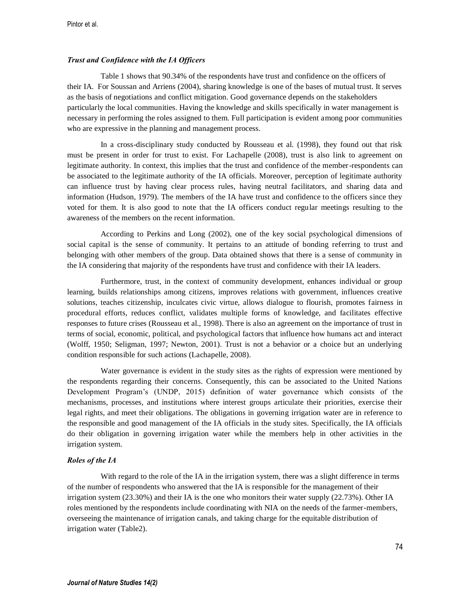### *Trust and Confidence with the IA Officers*

Table 1 shows that 90.34% of the respondents have trust and confidence on the officers of their IA. For Soussan and Arriens (2004), sharing knowledge is one of the bases of mutual trust. It serves as the basis of negotiations and conflict mitigation. Good governance depends on the stakeholders particularly the local communities. Having the knowledge and skills specifically in water management is necessary in performing the roles assigned to them. Full participation is evident among poor communities who are expressive in the planning and management process.

In a cross-disciplinary study conducted by Rousseau et al. (1998), they found out that risk must be present in order for trust to exist. For Lachapelle (2008), trust is also link to agreement on legitimate authority. In context, this implies that the trust and confidence of the member-respondents can be associated to the legitimate authority of the IA officials. Moreover, perception of legitimate authority can influence trust by having clear process rules, having neutral facilitators, and sharing data and information (Hudson, 1979). The members of the IA have trust and confidence to the officers since they voted for them. It is also good to note that the IA officers conduct regular meetings resulting to the awareness of the members on the recent information.

According to Perkins and Long (2002), one of the key social psychological dimensions of social capital is the sense of community. It pertains to an attitude of bonding referring to trust and belonging with other members of the group. Data obtained shows that there is a sense of community in the IA considering that majority of the respondents have trust and confidence with their IA leaders.

Furthermore, trust, in the context of community development, enhances individual or group learning, builds relationships among citizens, improves relations with government, influences creative solutions, teaches citizenship, inculcates civic virtue, allows dialogue to flourish, promotes fairness in procedural efforts, reduces conflict, validates multiple forms of knowledge, and facilitates effective responses to future crises (Rousseau et al., 1998). There is also an agreement on the importance of trust in terms of social, economic, political, and psychological factors that influence how humans act and interact (Wolff, 1950; Seligman, 1997; Newton, 2001). Trust is not a behavior or a choice but an underlying condition responsible for such actions (Lachapelle, 2008).

Water governance is evident in the study sites as the rights of expression were mentioned by the respondents regarding their concerns. Consequently, this can be associated to the United Nations Development Program's (UNDP, 2015) definition of water governance which consists of the mechanisms, processes, and institutions where interest groups articulate their priorities, exercise their legal rights, and meet their obligations. The obligations in governing irrigation water are in reference to the responsible and good management of the IA officials in the study sites. Specifically, the IA officials do their obligation in governing irrigation water while the members help in other activities in the irrigation system.

### *Roles of the IA*

With regard to the role of the IA in the irrigation system, there was a slight difference in terms of the number of respondents who answered that the IA is responsible for the management of their irrigation system (23.30%) and their IA is the one who monitors their water supply (22.73%). Other IA roles mentioned by the respondents include coordinating with NIA on the needs of the farmer-members, overseeing the maintenance of irrigation canals, and taking charge for the equitable distribution of irrigation water (Table2).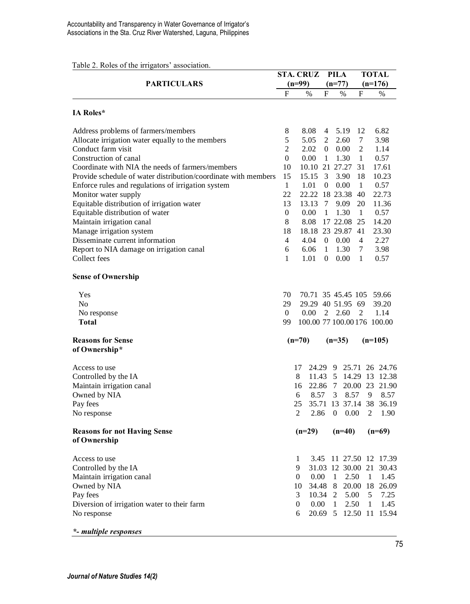| Table 2. Roles of the irrigators' association. |  |  |  |  |  |
|------------------------------------------------|--|--|--|--|--|
|------------------------------------------------|--|--|--|--|--|

|                                                                    | <b>STA. CRUZ</b>   | <b>PILA</b>                 |                |                | <b>TOTAL</b>       |              |                        |
|--------------------------------------------------------------------|--------------------|-----------------------------|----------------|----------------|--------------------|--------------|------------------------|
| <b>PARTICULARS</b>                                                 |                    | (n=99)                      |                | $(n=77)$       |                    | $(n=176)$    |                        |
|                                                                    | F                  | $\%$                        | F              | %              | F                  |              | $\%$                   |
| <b>IA Roles*</b>                                                   |                    |                             |                |                |                    |              |                        |
| Address problems of farmers/members                                | 8                  | 8.08                        | 4              | 5.19           | 12                 |              | 6.82                   |
| Allocate irrigation water equally to the members                   | 5                  | 5.05                        | $\overline{2}$ | 2.60           | $\tau$             |              | 3.98                   |
| Conduct farm visit                                                 | $\overline{c}$     | 2.02                        |                | 0.00           | 2                  |              | 1.14                   |
| Construction of canal                                              | $\overline{0}$     | 0.00                        | $\mathbf{1}$   | 1.30           | $\mathbf{1}$       |              | 0.57                   |
| Coordinate with NIA the needs of farmers/members                   | 10                 | 10.10                       |                | 21 27.27       | 31                 |              | 17.61                  |
| Provide schedule of water distribution/coordinate with members     | 15                 | 15.15                       | 3              | 3.90           | 18                 |              | 10.23                  |
| Enforce rules and regulations of irrigation system                 | $\mathbf{1}$<br>22 | 1.01<br>22.22 18 23.38      | $\overline{0}$ | 0.00           | $\mathbf{1}$<br>40 |              | 0.57<br>22.73          |
| Monitor water supply<br>Equitable distribution of irrigation water | 13                 | 13.13                       | 7              | 9.09           | 20                 |              | 11.36                  |
| Equitable distribution of water                                    | $\overline{0}$     | 0.00                        | $\mathbf{1}$   | 1.30           | $\mathbf{1}$       |              | 0.57                   |
| Maintain irrigation canal                                          | 8                  | 8.08                        |                | 17 22.08       | 25                 |              | 14.20                  |
| Manage irrigation system                                           | 18                 | 18.18 23 29.87              |                |                | 41                 |              | 23.30                  |
| Disseminate current information                                    | $\overline{4}$     | 4.04                        | $\overline{0}$ | 0.00           | $\overline{4}$     |              | 2.27                   |
| Report to NIA damage on irrigation canal                           | 6                  | 6.06                        | $\mathbf{1}$   | 1.30           | 7                  |              | 3.98                   |
| Collect fees                                                       | 1                  | 1.01                        | $\Omega$       | 0.00           | $\mathbf{1}$       |              | 0.57                   |
| <b>Sense of Ownership</b>                                          |                    |                             |                |                |                    |              |                        |
|                                                                    |                    |                             |                |                |                    |              |                        |
| Yes                                                                | 70                 | 70.71 35 45.45 105 59.66    |                |                |                    |              |                        |
| N <sub>0</sub>                                                     | 29                 | 29.29 40 51.95 69           |                |                |                    |              | 39.20                  |
| No response                                                        | $\overline{0}$     | 0.00                        | $\overline{2}$ | 2.60           | 2                  |              | 1.14                   |
| Total                                                              | 99                 | 100.00 77 100.00 176 100.00 |                |                |                    |              |                        |
| <b>Reasons for Sense</b>                                           |                    | $(n=70)$                    |                | $(n=35)$       |                    |              | $(n=105)$              |
| of Ownership*                                                      |                    |                             |                |                |                    |              |                        |
| Access to use                                                      |                    | 17<br>24.29                 |                | - 9            |                    |              | 25.71 26 24.76         |
| Controlled by the IA                                               |                    | 8                           |                |                |                    |              | 11.43 5 14.29 13 12.38 |
| Maintain irrigation canal                                          |                    | 22.86<br>16                 |                | 7              |                    |              | 20.00 23 21.90         |
| Owned by NIA                                                       |                    | 8.57<br>6                   |                | 3              | 8.57               | 9            | 8.57                   |
| Pay fees                                                           |                    | 25<br>35.71                 |                |                |                    |              | 13 37.14 38 36.19      |
| No response                                                        |                    | 2<br>2.86                   |                | $\overline{0}$ | 0.00               | 2            | 1.90                   |
| <b>Reasons for not Having Sense</b>                                |                    | $(n=29)$                    |                | $(n=40)$       |                    |              | $(n=69)$               |
| of Ownership                                                       |                    |                             |                |                |                    |              |                        |
| Access to use                                                      |                    | 3.45<br>1                   |                |                |                    |              | 11 27.50 12 17.39      |
| Controlled by the IA                                               |                    | 9                           |                |                | 31.03 12 30.00 21  |              | 30.43                  |
| Maintain irrigation canal                                          |                    | 0<br>0.00                   |                | 1              | 2.50               | 1            | 1.45                   |
| Owned by NIA                                                       |                    | 10<br>34.48                 |                |                |                    |              | 8 20.00 18 26.09       |
| Pay fees                                                           |                    | 3<br>10.34                  |                | 2              | 5.00               | 5            | 7.25                   |
| Diversion of irrigation water to their farm                        |                    | $\boldsymbol{0}$<br>0.00    |                | $\mathbf{1}$   | 2.50               | $\mathbf{1}$ | 1.45                   |
| No response                                                        |                    | 6<br>20.69                  |                | 5              |                    |              | 12.50 11 15.94         |
|                                                                    |                    |                             |                |                |                    |              |                        |

*\*- multiple responses*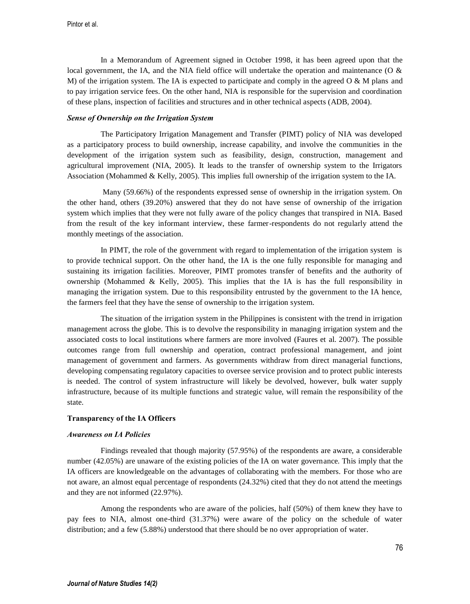In a Memorandum of Agreement signed in October 1998, it has been agreed upon that the local government, the IA, and the NIA field office will undertake the operation and maintenance (O  $\&$ M) of the irrigation system. The IA is expected to participate and comply in the agreed  $\overline{O} \& M$  plans and to pay irrigation service fees. On the other hand, NIA is responsible for the supervision and coordination of these plans, inspection of facilities and structures and in other technical aspects (ADB, 2004).

## *Sense of Ownership on the Irrigation System*

The Participatory Irrigation Management and Transfer (PIMT) policy of NIA was developed as a participatory process to build ownership, increase capability, and involve the communities in the development of the irrigation system such as feasibility, design, construction, management and agricultural improvement (NIA, 2005). It leads to the transfer of ownership system to the Irrigators Association (Mohammed & Kelly, 2005). This implies full ownership of the irrigation system to the IA.

Many (59.66%) of the respondents expressed sense of ownership in the irrigation system. On the other hand, others (39.20%) answered that they do not have sense of ownership of the irrigation system which implies that they were not fully aware of the policy changes that transpired in NIA. Based from the result of the key informant interview, these farmer-respondents do not regularly attend the monthly meetings of the association.

In PIMT, the role of the government with regard to implementation of the irrigation system is to provide technical support. On the other hand, the IA is the one fully responsible for managing and sustaining its irrigation facilities. Moreover, PIMT promotes transfer of benefits and the authority of ownership (Mohammed & Kelly, 2005). This implies that the IA is has the full responsibility in managing the irrigation system. Due to this responsibility entrusted by the government to the IA hence, the farmers feel that they have the sense of ownership to the irrigation system.

The situation of the irrigation system in the Philippines is consistent with the trend in irrigation management across the globe. This is to devolve the responsibility in managing irrigation system and the associated costs to local institutions where farmers are more involved (Faures et al. 2007). The possible outcomes range from full ownership and operation, contract professional management, and joint management of government and farmers. As governments withdraw from direct managerial functions, developing compensating regulatory capacities to oversee service provision and to protect public interests is needed. The control of system infrastructure will likely be devolved, however, bulk water supply infrastructure, because of its multiple functions and strategic value, will remain the responsibility of the state.

### **Transparency of the IA Officers**

#### *Awareness on IA Policies*

Findings revealed that though majority (57.95%) of the respondents are aware, a considerable number (42.05%) are unaware of the existing policies of the IA on water governance. This imply that the IA officers are knowledgeable on the advantages of collaborating with the members. For those who are not aware, an almost equal percentage of respondents (24.32%) cited that they do not attend the meetings and they are not informed (22.97%).

Among the respondents who are aware of the policies, half (50%) of them knew they have to pay fees to NIA, almost one-third (31.37%) were aware of the policy on the schedule of water distribution; and a few (5.88%) understood that there should be no over appropriation of water.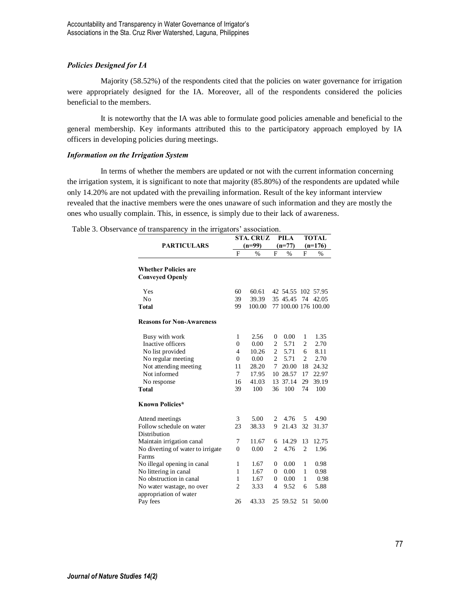## *Policies Designed for IA*

Majority (58.52%) of the respondents cited that the policies on water governance for irrigation were appropriately designed for the IA. Moreover, all of the respondents considered the policies beneficial to the members.

It is noteworthy that the IA was able to formulate good policies amenable and beneficial to the general membership. Key informants attributed this to the participatory approach employed by IA officers in developing policies during meetings.

## *Information on the Irrigation System*

In terms of whether the members are updated or not with the current information concerning the irrigation system, it is significant to note that majority (85.80%) of the respondents are updated while only 14.20% are not updated with the prevailing information. Result of the key informant interview revealed that the inactive members were the ones unaware of such information and they are mostly the ones who usually complain. This, in essence, is simply due to their lack of awareness.

| Table 3. Observance of transparency in the irrigators' association. |  |  |
|---------------------------------------------------------------------|--|--|
|                                                                     |  |  |

|                                                       |                | <b>STA. CRUZ</b> |                | PILA                 | <b>TOTAL</b>   |       |  |
|-------------------------------------------------------|----------------|------------------|----------------|----------------------|----------------|-------|--|
| <b>PARTICULARS</b>                                    |                | $(n=99)$         |                | $(n=77)$             | $(n=176)$      |       |  |
|                                                       | F              | %                | F              | %                    | F              | %     |  |
| <b>Whether Policies are</b><br><b>Conveyed Openly</b> |                |                  |                |                      |                |       |  |
| Yes                                                   | 60             | 60.61            |                | 42 54.55 102 57.95   |                |       |  |
| N <sub>0</sub>                                        | 39             | 39.39            |                | 35 45.45             | 74             | 42.05 |  |
| Total                                                 | 99             | 100.00           |                | 77 100.00 176 100.00 |                |       |  |
| <b>Reasons for Non-Awareness</b>                      |                |                  |                |                      |                |       |  |
| Busy with work                                        | 1              | 2.56             | $\overline{0}$ | 0.00                 | 1              | 1.35  |  |
| Inactive officers                                     | $\theta$       | 0.00             | $\overline{c}$ | 5.71                 | $\overline{c}$ | 2.70  |  |
| No list provided                                      | $\overline{4}$ | 10.26            | $\overline{c}$ | 5.71                 | 6              | 8.11  |  |
| No regular meeting                                    | $\Omega$       | 0.00             | $\overline{c}$ | 5.71                 | 2              | 2.70  |  |
| Not attending meeting                                 | 11             | 28.20            | 7              | 20.00                | 18             | 24.32 |  |
| Not informed                                          | 7              | 17.95            | 10             | 28.57                | 17             | 22.97 |  |
| No response                                           | 16             | 41.03            | 13             | 37.14                | 29             | 39.19 |  |
| <b>Total</b>                                          | 39             | 100              | 36             | 100                  | 74             | 100   |  |
| <b>Known Policies*</b>                                |                |                  |                |                      |                |       |  |
| Attend meetings                                       | 3              | 5.00             | 2              | 4.76                 | 5              | 4.90  |  |
| Follow schedule on water                              | 23             | 38.33            | 9              | 21.43                | 32             | 31.37 |  |
| Distribution                                          |                |                  |                |                      |                |       |  |
| Maintain irrigation canal                             | 7              | 11.67            | 6              | 14.29                | 13             | 12.75 |  |
| No diverting of water to irrigate                     | $\theta$       | 0.00             | $\overline{c}$ | 4.76                 | $\overline{c}$ | 1.96  |  |
| Farms                                                 |                |                  |                |                      |                |       |  |
| No illegal opening in canal                           | 1              | 1.67             | $\Omega$       | 0.00                 | 1              | 0.98  |  |
| No littering in canal                                 | 1              | 1.67             | $\mathbf{0}$   | 0.00                 | 1              | 0.98  |  |
| No obstruction in canal                               | 1              | 1.67             | 0              | 0.00                 | 1              | 0.98  |  |
| No water wastage, no over                             | $\overline{c}$ | 3.33             | $\overline{4}$ | 9.52                 | 6              | 5.88  |  |
| appropriation of water                                |                |                  |                |                      |                |       |  |
| Pay fees                                              | 26             | 43.33            |                | 25 59.52             | 51             | 50.00 |  |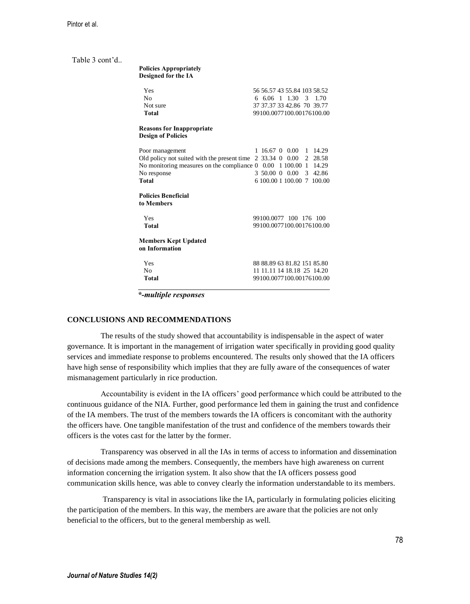Table 3 cont'd..

| <b>Policies Appropriately</b> |
|-------------------------------|
| <b>Designed for the IA</b>    |

| Yes<br>No<br>Not sure.<br>Total                                                                                                                      | 56 56 57 43 55 84 103 58 52<br>6 6 0 6 1 1 3 0 3 1 7 0<br>37 37 37 33 42 86 70 39 77<br>99100.0077100.00176100.00                   |
|------------------------------------------------------------------------------------------------------------------------------------------------------|-------------------------------------------------------------------------------------------------------------------------------------|
| <b>Reasons for Inappropriate</b><br><b>Design of Policies</b>                                                                                        |                                                                                                                                     |
| Poor management<br>Old policy not suited with the present time<br>No monitoring measures on the compliance $0$ 0.00 1 100.00<br>No response<br>Total | 16.67 0 0.00 1 14.29<br>1<br>2 33.34 0 0.00<br>2 28.58<br>14.29<br>-1<br>3 50.00 0 0.00<br>3 42.86<br>6 100.00 1 100.00 7<br>100.00 |
| <b>Policies Beneficial</b><br>to Members                                                                                                             |                                                                                                                                     |
| Yes<br>Total                                                                                                                                         | 99100.0077 100 176 100<br>99100 0077100 00176100 00                                                                                 |
| <b>Members Kept Updated</b><br>on Information                                                                                                        |                                                                                                                                     |
| Yes<br>No<br>Total                                                                                                                                   | 88 88 89 63 81 82 151 85 80<br>11 11 11 14 18 18 25 14 20<br>99100.0077100.00176100.00                                              |

 *\*-multiple responses*

### **CONCLUSIONS AND RECOMMENDATIONS**

The results of the study showed that accountability is indispensable in the aspect of water governance. It is important in the management of irrigation water specifically in providing good quality services and immediate response to problems encountered. The results only showed that the IA officers have high sense of responsibility which implies that they are fully aware of the consequences of water mismanagement particularly in rice production.

Accountability is evident in the IA officers' good performance which could be attributed to the continuous guidance of the NIA. Further, good performance led them in gaining the trust and confidence of the IA members. The trust of the members towards the IA officers is concomitant with the authority the officers have. One tangible manifestation of the trust and confidence of the members towards their officers is the votes cast for the latter by the former.

Transparency was observed in all the IAs in terms of access to information and dissemination of decisions made among the members. Consequently, the members have high awareness on current information concerning the irrigation system. It also show that the IA officers possess good communication skills hence, was able to convey clearly the information understandable to its members.

Transparency is vital in associations like the IA, particularly in formulating policies eliciting the participation of the members. In this way, the members are aware that the policies are not only beneficial to the officers, but to the general membership as well.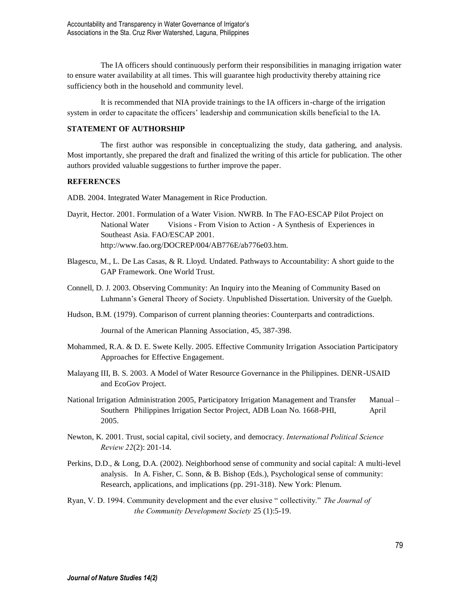The IA officers should continuously perform their responsibilities in managing irrigation water to ensure water availability at all times. This will guarantee high productivity thereby attaining rice sufficiency both in the household and community level.

It is recommended that NIA provide trainings to the IA officers in-charge of the irrigation system in order to capacitate the officers' leadership and communication skills beneficial to the IA.

## **STATEMENT OF AUTHORSHIP**

The first author was responsible in conceptualizing the study, data gathering, and analysis. Most importantly, she prepared the draft and finalized the writing of this article for publication. The other authors provided valuable suggestions to further improve the paper.

# **REFERENCES**

ADB. 2004. Integrated Water Management in Rice Production.

- Dayrit, Hector. 2001. Formulation of a Water Vision. NWRB. In The FAO-ESCAP Pilot Project on National Water Visions - From Vision to Action - A Synthesis of Experiences in Southeast Asia. FAO/ESCAP 2001. http://www.fao.org/DOCREP/004/AB776E/ab776e03.htm.
- Blagescu, M., L. De Las Casas, & R. Lloyd. Undated. Pathways to Accountability: A short guide to the GAP Framework. One World Trust.
- Connell, D. J. 2003. Observing Community: An Inquiry into the Meaning of Community Based on Luhmann's General Theory of Society. Unpublished Dissertation. University of the Guelph.
- Hudson, B.M. (1979). Comparison of current planning theories: Counterparts and contradictions.

Journal of the American Planning Association, 45, 387-398.

- Mohammed, R.A. & D. E. Swete Kelly. 2005. Effective Community Irrigation Association Participatory Approaches for Effective Engagement.
- Malayang III, B. S. 2003. A Model of Water Resource Governance in the Philippines. DENR-USAID and EcoGov Project.
- National Irrigation Administration 2005, Participatory Irrigation Management and Transfer Manual Southern Philippines Irrigation Sector Project, ADB Loan No. 1668-PHI, April 2005.
- Newton, K. 2001. Trust, social capital, civil society, and democracy. *International Political Science Review 22*(2): 201-14.
- Perkins, D.D., & Long, D.A. (2002). Neighborhood sense of community and social capital: A multi-level analysis. In A. Fisher, C. Sonn, & B. Bishop (Eds.), Psychological sense of community: Research, applications, and implications (pp. 291-318). New York: Plenum.
- Ryan, V. D. 1994. Community development and the ever elusive " collectivity." *The Journal of the Community Development Society* 25 (1):5-19.